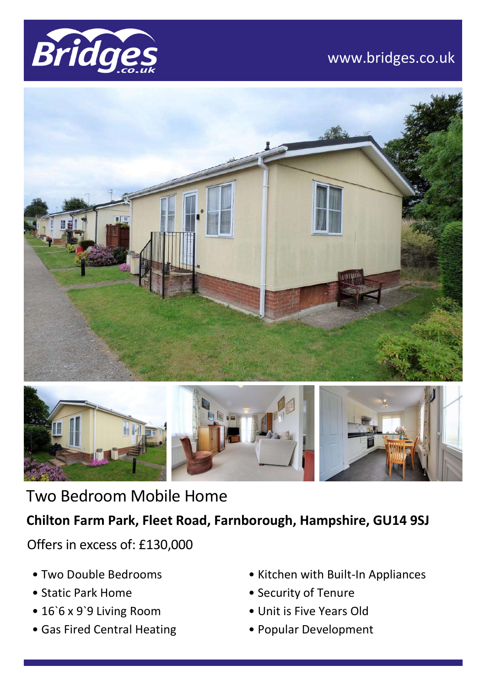

# www.bridges.co.uk





Two Bedroom Mobile Home

# **Chilton Farm Park, Fleet Road, Farnborough, Hampshire, GU14 9SJ**

Offers in excess of: £130,000

- Two Double Bedrooms
- Static Park Home
- 16`6 x 9`9 Living Room
- Gas Fired Central Heating
- Kitchen with Built-In Appliances
- Security of Tenure
- Unit is Five Years Old
- Popular Development